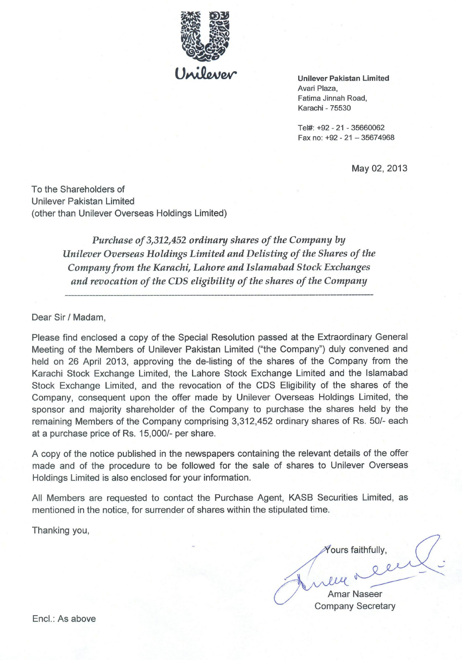

**Unilever Pakistan Limited** Avari Plaza. Fatima Jinnah Road, Karachi - 75530

Tel#: +92 - 21 - 35660062 Fax no: +92 - 21 - 35674968

May 02, 2013

To the Shareholders of **Unilever Pakistan Limited** (other than Unilever Overseas Holdings Limited)

> Purchase of 3,312,452 ordinary shares of the Company by Unilever Overseas Holdings Limited and Delisting of the Shares of the Company from the Karachi, Lahore and Islamabad Stock Exchanges and revocation of the CDS eligibility of the shares of the Company

Dear Sir / Madam,

Please find enclosed a copy of the Special Resolution passed at the Extraordinary General Meeting of the Members of Unilever Pakistan Limited ("the Company") duly convened and held on 26 April 2013, approving the de-listing of the shares of the Company from the Karachi Stock Exchange Limited, the Lahore Stock Exchange Limited and the Islamabad Stock Exchange Limited, and the revocation of the CDS Eligibility of the shares of the Company, consequent upon the offer made by Unilever Overseas Holdings Limited, the sponsor and majority shareholder of the Company to purchase the shares held by the remaining Members of the Company comprising 3,312,452 ordinary shares of Rs. 50/- each at a purchase price of Rs. 15,000/- per share.

A copy of the notice published in the newspapers containing the relevant details of the offer made and of the procedure to be followed for the sale of shares to Unilever Overseas Holdings Limited is also enclosed for your information.

All Members are requested to contact the Purchase Agent, KASB Securities Limited, as mentioned in the notice, for surrender of shares within the stipulated time.

Thanking you,

**Yours faithfully**,

**Amar Naseer Company Secretary** 

Encl.: As above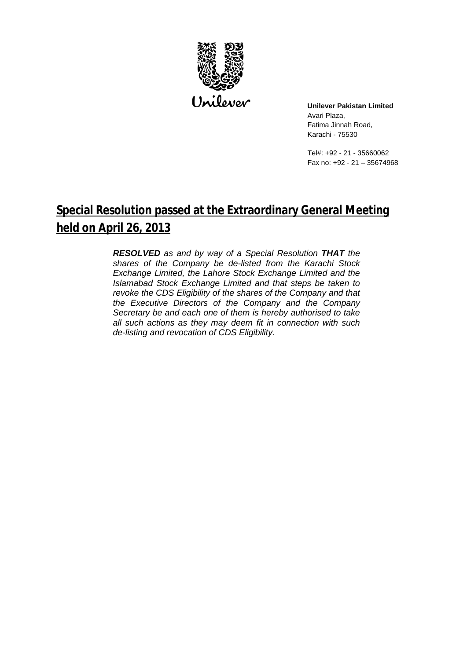

 Karachi - 75530 **Unilever Pakistan Limited**  Avari Plaza, Fatima Jinnah Road,

Tel#: +92 - 21 - 35660062 Fax no: +92 - 21 – 35674968

## **held on April 26, 2013 Special Resolution passed at the Extraordinary General Meeting**

 *shares of the Company be de-listed from the Karachi Stock revoke the CDS Eligibility of the shares of the Company and that the Executive Directors of the Company and the Company de-listing and revocation of CDS Eligibility. RESOLVED as and by way of a Special Resolution THAT the Exchange Limited, the Lahore Stock Exchange Limited and the Islamabad Stock Exchange Limited and that steps be taken to Secretary be and each one of them is hereby authorised to take all such actions as they may deem fit in connection with such*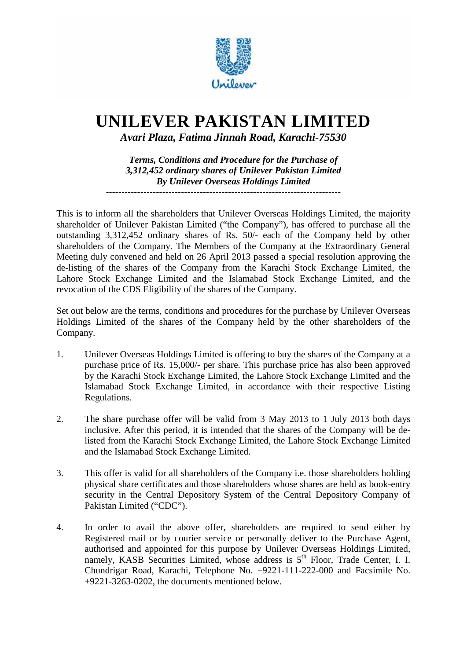

# **UNILEVER PAKISTAN LIMITED**

*Avari Plaza, Fatima Jinnah Road, Karachi-75530* 

 *Terms, Conditions and Procedure for the Purchase of 3,312,452 ordinary shares of Unilever Pakistan Limited*  --------------------------------------------------------------------------- *By Unilever Overseas Holdings Limited* 

 shareholder of Unilever Pakistan Limited ("the Company"), has offered to purchase all the This is to inform all the shareholders that Unilever Overseas Holdings Limited, the majority outstanding 3,312,452 ordinary shares of Rs. 50/- each of the Company held by other shareholders of the Company. The Members of the Company at the Extraordinary General Meeting duly convened and held on 26 April 2013 passed a special resolution approving the de-listing of the shares of the Company from the Karachi Stock Exchange Limited, the Lahore Stock Exchange Limited and the Islamabad Stock Exchange Limited, and the revocation of the CDS Eligibility of the shares of the Company.

Set out below are the terms, conditions and procedures for the purchase by Unilever Overseas Holdings Limited of the shares of the Company held by the other shareholders of the Company.

- 1. Unilever Overseas Holdings Limited is offering to buy the shares of the Company at a Islamabad Stock Exchange Limited, in accordance with their respective Listing purchase price of Rs. 15,000/- per share. This purchase price has also been approved by the Karachi Stock Exchange Limited, the Lahore Stock Exchange Limited and the Regulations.
- 2. The share purchase offer will be valid from 3 May 2013 to 1 July 2013 both days inclusive. After this period, it is intended that the shares of the Company will be delisted from the Karachi Stock Exchange Limited, the Lahore Stock Exchange Limited and the Islamabad Stock Exchange Limited.
- 3. This offer is valid for all shareholders of the Company i.e. those shareholders holding physical share certificates and those shareholders whose shares are held as book-entry security in the Central Depository System of the Central Depository Company of Pakistan Limited ("CDC").
- +9221-3263-0202, the documents mentioned below. 4. In order to avail the above offer, shareholders are required to send either by Registered mail or by courier service or personally deliver to the Purchase Agent, authorised and appointed for this purpose by Unilever Overseas Holdings Limited, namely, KASB Securities Limited, whose address is 5<sup>th</sup> Floor, Trade Center, I. I. Chundrigar Road, Karachi, Telephone No. +9221-111-222-000 and Facsimile No.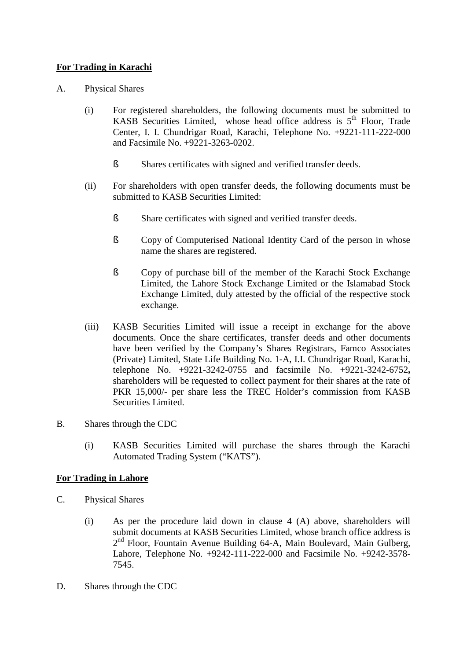### **For Trading in Karachi**

- A. Physical Shares
	- (i) For registered shareholders, the following documents must be submitted to KASB Securities Limited, whose head office address is  $5<sup>th</sup>$  Floor, Trade Center, I. I. Chundrigar Road, Karachi, Telephone No. +9221-111-222-000 and Facsimile No. +9221-3263-0202.
		- § Shares certificates with signed and verified transfer deeds.
	- (ii) For shareholders with open transfer deeds, the following documents must be submitted to KASB Securities Limited:
		- **§** Share certificates with signed and verified transfer deeds.
		- **§** Copy of Computerised National Identity Card of the person in whose name the shares are registered.
		- § Copy of purchase bill of the member of the Karachi Stock Exchange Limited, the Lahore Stock Exchange Limited or the Islamabad Stock Exchange Limited, duly attested by the official of the respective stock exchange.
	- (iii) KASB Securities Limited will issue a receipt in exchange for the above documents. Once the share certificates, transfer deeds and other documents have been verified by the Company's Shares Registrars, Famco Associates (Private) Limited, State Life Building No. 1-A, I.I. Chundrigar Road, Karachi, telephone No. +9221-3242-0755 and facsimile No. +9221-3242-6752**,**  shareholders will be requested to collect payment for their shares at the rate of PKR 15,000/- per share less the TREC Holder's commission from KASB Securities Limited.
- Shares through the CDC
- B. Shares through the CDC<br>
(i) KASB Securities Limited will purchase the shares through the Karachi Automated Trading System ("KATS").

#### **For Trading in Lahore**

- C. Physical Shares
	- (i) As per the procedure laid down in clause 4 (A) above, shareholders will submit documents at KASB Securities Limited, whose branch office address is  $2<sup>nd</sup>$  Floor, Fountain Avenue Building 64-A, Main Boulevard, Main Gulberg, Lahore, Telephone No. +9242-111-222-000 and Facsimile No. +9242-3578 7545.
- D. Shares through the CDC